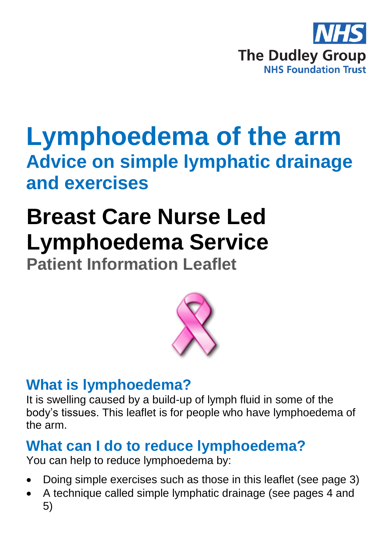

# **Lymphoedema of the arm Advice on simple lymphatic drainage and exercises**

# **Breast Care Nurse Led Lymphoedema Service**

**Patient Information Leaflet**



# **What is lymphoedema?**

It is swelling caused by a build-up of lymph fluid in some of the body's tissues. This leaflet is for people who have lymphoedema of the arm.

# **What can I do to reduce lymphoedema?**

You can help to reduce lymphoedema by:

- Doing simple exercises such as those in this leaflet (see page 3)
- A technique called simple lymphatic drainage (see pages 4 and 5)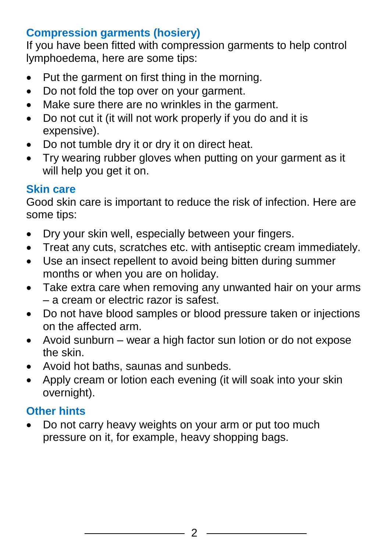### **Compression garments (hosiery)**

If you have been fitted with compression garments to help control lymphoedema, here are some tips:

- Put the garment on first thing in the morning.
- Do not fold the top over on your garment.
- Make sure there are no wrinkles in the garment.
- Do not cut it (it will not work properly if you do and it is expensive).
- Do not tumble dry it or dry it on direct heat.
- Try wearing rubber gloves when putting on your garment as it will help you get it on.

### **Skin care**

Good skin care is important to reduce the risk of infection. Here are some tips:

- Dry your skin well, especially between your fingers.
- Treat any cuts, scratches etc. with antiseptic cream immediately.
- Use an insect repellent to avoid being bitten during summer months or when you are on holiday.
- Take extra care when removing any unwanted hair on your arms – a cream or electric razor is safest.
- Do not have blood samples or blood pressure taken or injections on the affected arm.
- Avoid sunburn wear a high factor sun lotion or do not expose the skin.
- Avoid hot baths, saunas and sunbeds.
- Apply cream or lotion each evening (it will soak into your skin overnight).

## **Other hints**

• Do not carry heavy weights on your arm or put too much pressure on it, for example, heavy shopping bags.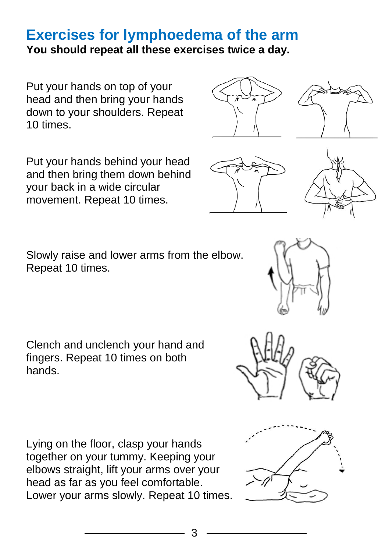## **Exercises for lymphoedema of the arm You should repeat all these exercises twice a day.**

Put your hands on top of your head and then bring your hands down to your shoulders. Repeat 10 times.

Put your hands behind your head and then bring them down behind your back in a wide circular movement. Repeat 10 times.

Slowly raise and lower arms from the elbow. Repeat 10 times.

Clench and unclench your hand and fingers. Repeat 10 times on both hands.

Lying on the floor, clasp your hands together on your tummy. Keeping your elbows straight, lift your arms over your head as far as you feel comfortable. Lower your arms slowly. Repeat 10 times.







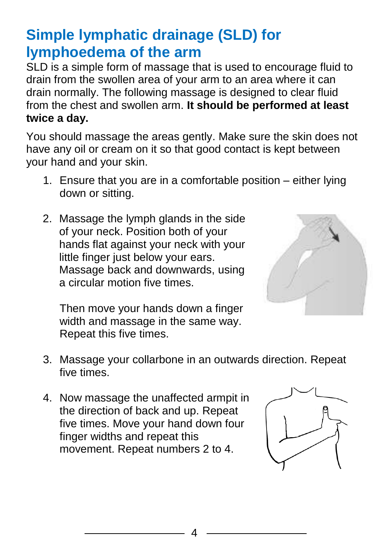# **Simple lymphatic drainage (SLD) for lymphoedema of the arm**

SLD is a simple form of massage that is used to encourage fluid to drain from the swollen area of your arm to an area where it can drain normally. The following massage is designed to clear fluid from the chest and swollen arm. **It should be performed at least twice a day.**

You should massage the areas gently. Make sure the skin does not have any oil or cream on it so that good contact is kept between your hand and your skin.

- 1. Ensure that you are in a comfortable position either lying down or sitting.
- 2. Massage the lymph glands in the side of your neck. Position both of your hands flat against your neck with your little finger just below your ears. Massage back and downwards, using a circular motion five times.



Then move your hands down a finger width and massage in the same way. Repeat this five times.

- 3. Massage your collarbone in an outwards direction. Repeat five times.
- 4. Now massage the unaffected armpit in the direction of back and up. Repeat five times. Move your hand down four finger widths and repeat this movement. Repeat numbers 2 to 4.

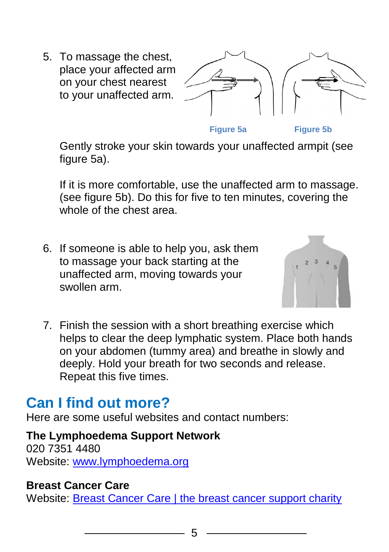5. To massage the chest, place your affected arm on your chest nearest to your unaffected arm.



**Figure 5a Figure 5b**

Gently stroke your skin towards your unaffected armpit (see figure 5a).

If it is more comfortable, use the unaffected arm to massage. (see figure 5b). Do this for five to ten minutes, covering the whole of the chest area.

6. If someone is able to help you, ask them to massage your back starting at the unaffected arm, moving towards your swollen arm.



7. Finish the session with a short breathing exercise which helps to clear the deep lymphatic system. Place both hands on your abdomen (tummy area) and breathe in slowly and deeply. Hold your breath for two seconds and release. Repeat this five times.

# **Can I find out more?**

Here are some useful websites and contact numbers:

#### **The Lymphoedema Support Network**

020 7351 4480 Website: [www.lymphoedema.org](http://www.lymphoedema.org/)

#### **Breast Cancer Care**

Website: [Breast Cancer Care | the breast cancer support charity](http://www.breastcancercare.org.uk/)